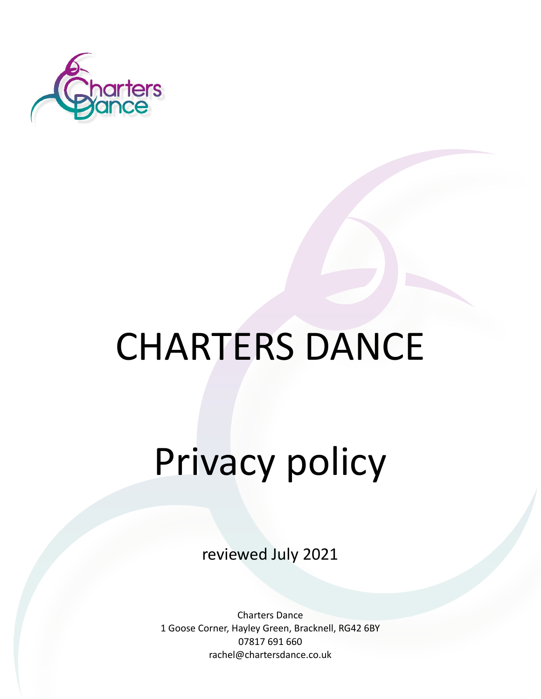

## CHARTERS DANCE

# Privacy policy

reviewed July 2021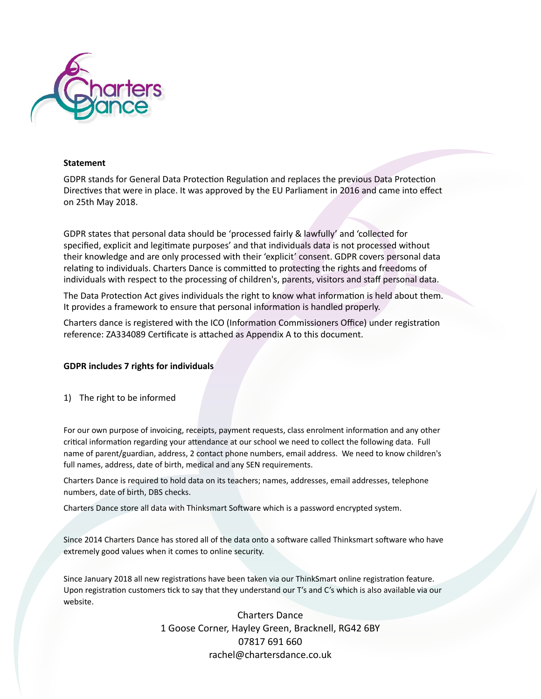

#### **Statement**

GDPR stands for General Data Protection Regulation and replaces the previous Data Protection Directives that were in place. It was approved by the EU Parliament in 2016 and came into effect on 25th May 2018.

GDPR states that personal data should be 'processed fairly & lawfully' and 'collected for specified, explicit and legitimate purposes' and that individuals data is not processed without their knowledge and are only processed with their 'explicit' consent. GDPR covers personal data relating to individuals. Charters Dance is committed to protecting the rights and freedoms of individuals with respect to the processing of children's, parents, visitors and staff personal data.

The Data Protection Act gives individuals the right to know what information is held about them. It provides a framework to ensure that personal information is handled properly.

Charters dance is registered with the ICO (Information Commissioners Office) under registration reference: ZA334089 Certificate is attached as Appendix A to this document.

#### **GDPR includes 7 rights for individuals**

1) The right to be informed

For our own purpose of invoicing, receipts, payment requests, class enrolment information and any other critical information regarding your attendance at our school we need to collect the following data. Full name of parent/guardian, address, 2 contact phone numbers, email address. We need to know children's full names, address, date of birth, medical and any SEN requirements.

Charters Dance is required to hold data on its teachers; names, addresses, email addresses, telephone numbers, date of birth, DBS checks.

Charters Dance store all data with Thinksmart Software which is a password encrypted system.

Since 2014 Charters Dance has stored all of the data onto a software called Thinksmart software who have extremely good values when it comes to online security.

Since January 2018 all new registrations have been taken via our ThinkSmart online registration feature. Upon registration customers tick to say that they understand our T's and C's which is also available via our website.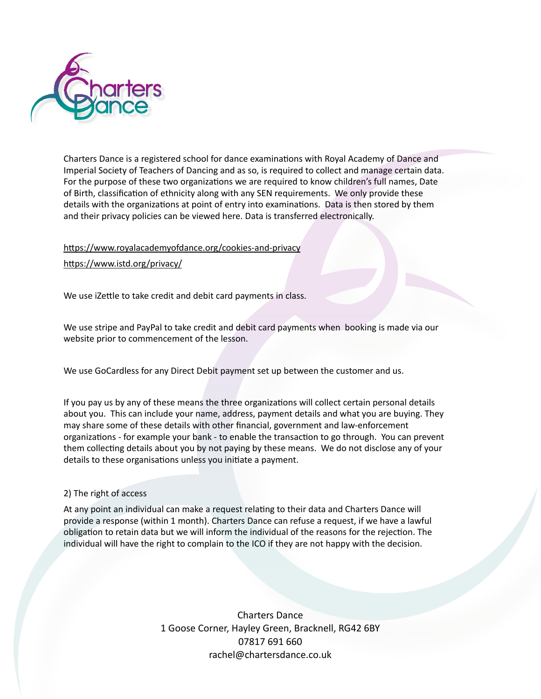

Charters Dance is a registered school for dance examinations with Royal Academy of Dance and Imperial Society of Teachers of Dancing and as so, is required to collect and manage certain data. For the purpose of these two organizations we are required to know children's full names, Date of Birth, classification of ethnicity along with any SEN requirements. We only provide these details with the organizations at point of entry into examinations. Data is then stored by them and their privacy policies can be viewed here. Data is transferred electronically.

### https://www.royalacademyofdance.org/cookies-and-privacy

https://www.istd.org/privacy/

We use iZettle to take credit and debit card payments in class.

We use stripe and PayPal to take credit and debit card payments when booking is made via our website prior to commencement of the lesson.

We use GoCardless for any Direct Debit payment set up between the customer and us.

If you pay us by any of these means the three organizations will collect certain personal details about you. This can include your name, address, payment details and what you are buying. They may share some of these details with other financial, government and law-enforcement organizations - for example your bank - to enable the transaction to go through. You can prevent them collecting details about you by not paying by these means. We do not disclose any of your details to these organisations unless you initiate a payment.

#### 2) The right of access

At any point an individual can make a request relating to their data and Charters Dance will provide a response (within 1 month). Charters Dance can refuse a request, if we have a lawful obligation to retain data but we will inform the individual of the reasons for the rejection. The individual will have the right to complain to the ICO if they are not happy with the decision.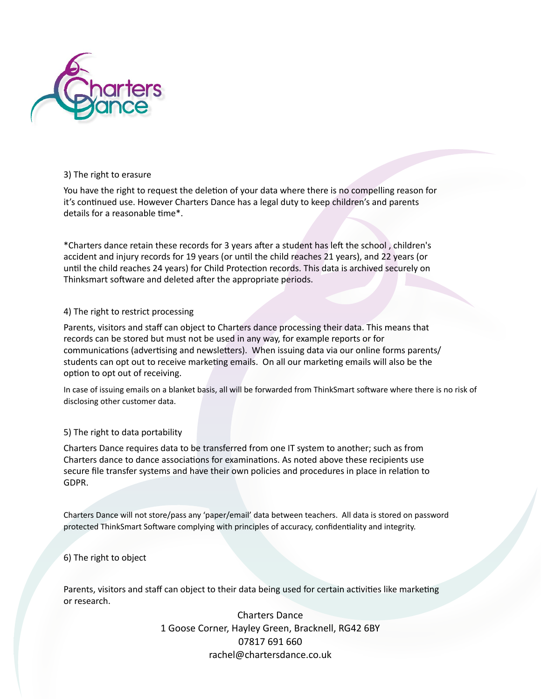

#### 3) The right to erasure

You have the right to request the deletion of your data where there is no compelling reason for it's continued use. However Charters Dance has a legal duty to keep children's and parents details for a reasonable time\*.

\*Charters dance retain these records for 3 years after a student has left the school, children's accident and injury records for 19 years (or until the child reaches 21 years), and 22 years (or until the child reaches 24 years) for Child Protection records. This data is archived securely on Thinksmart software and deleted after the appropriate periods.

### 4) The right to restrict processing

Parents, visitors and staff can object to Charters dance processing their data. This means that records can be stored but must not be used in any way, for example reports or for communications (advertising and newsletters). When issuing data via our online forms parents/ students can opt out to receive marketing emails. On all our marketing emails will also be the option to opt out of receiving.

In case of issuing emails on a blanket basis, all will be forwarded from ThinkSmart software where there is no risk of disclosing other customer data.

### 5) The right to data portability

Charters Dance requires data to be transferred from one IT system to another; such as from Charters dance to dance associations for examinations. As noted above these recipients use secure file transfer systems and have their own policies and procedures in place in relation to GDPR.

Charters Dance will not store/pass any 'paper/email' data between teachers. All data is stored on password protected ThinkSmart Software complying with principles of accuracy, confidentiality and integrity.

### 6) The right to object

Parents, visitors and staff can object to their data being used for certain activities like marketing or research.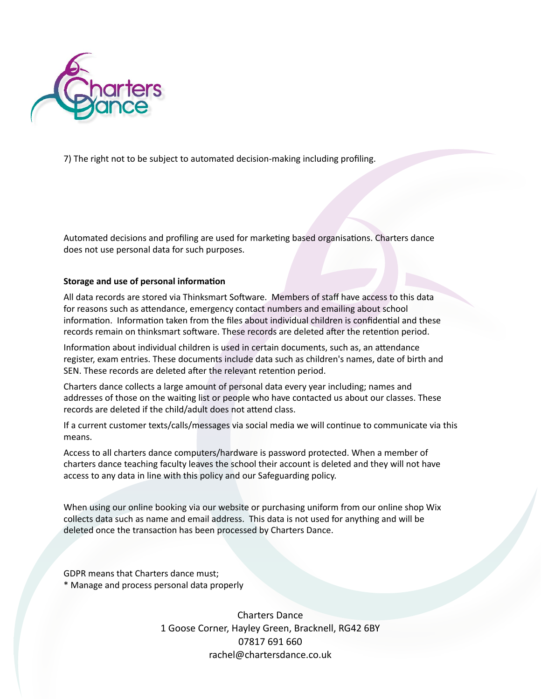

7) The right not to be subject to automated decision-making including profiling.

Automated decisions and profiling are used for marketing based organisations. Charters dance does not use personal data for such purposes.

#### **Storage and use of personal information**

All data records are stored via Thinksmart Software. Members of staff have access to this data for reasons such as attendance, emergency contact numbers and emailing about school information. Information taken from the files about individual children is confidential and these records remain on thinksmart software. These records are deleted after the retention period.

Information about individual children is used in certain documents, such as, an attendance register, exam entries. These documents include data such as children's names, date of birth and SEN. These records are deleted after the relevant retention period.

Charters dance collects a large amount of personal data every year including; names and addresses of those on the waiting list or people who have contacted us about our classes. These records are deleted if the child/adult does not attend class.

If a current customer texts/calls/messages via social media we will continue to communicate via this means.

Access to all charters dance computers/hardware is password protected. When a member of charters dance teaching faculty leaves the school their account is deleted and they will not have access to any data in line with this policy and our Safeguarding policy.

When using our online booking via our website or purchasing uniform from our online shop Wix collects data such as name and email address. This data is not used for anything and will be deleted once the transaction has been processed by Charters Dance.

GDPR means that Charters dance must;

\* Manage and process personal data properly